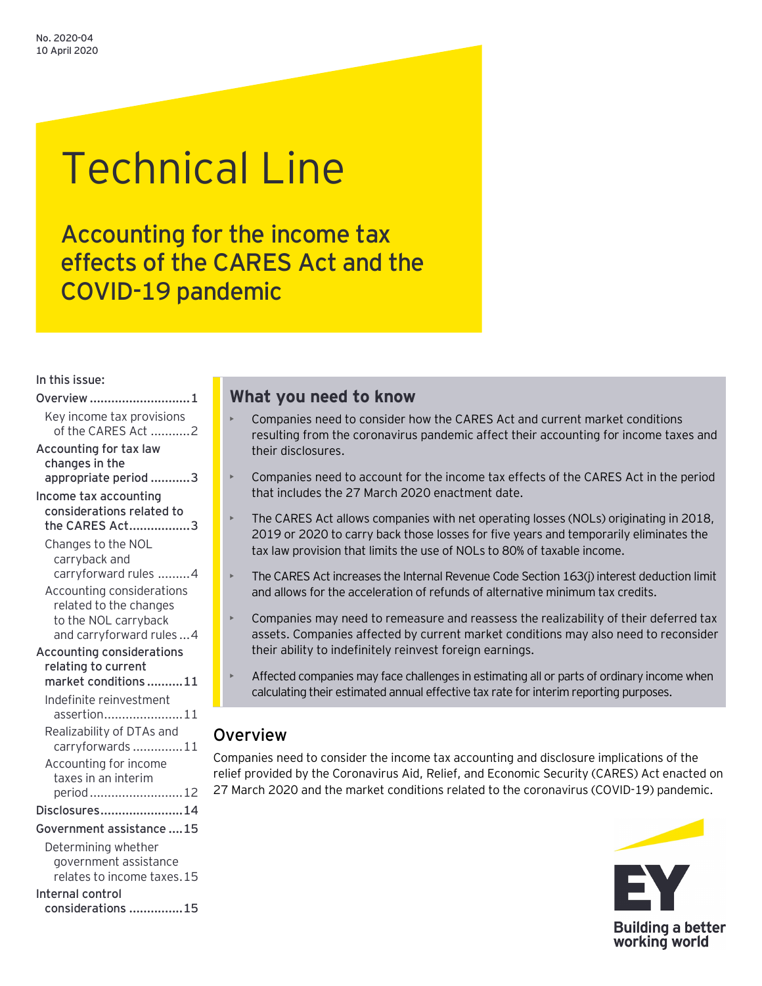# Technical Line

Accounting for the income tax effects of the CARES Act and the COVID-19 pandemic

## In this issue:

| Overview 1                                                       |
|------------------------------------------------------------------|
| Key income tax provisions<br>of the CARES Act 2                  |
| Accounting for tax law<br>changes in the<br>appropriate period 3 |
| Income tax accounting                                            |
| considerations related to<br>the CARES Act3                      |
| Changes to the NOL                                               |
| carryback and                                                    |
| carryforward rules 4                                             |
| Accounting considerations                                        |
| related to the changes                                           |
| to the NOL carryback<br>and carryforward rules  4                |
| <b>Accounting considerations</b>                                 |
| relating to current                                              |
| market conditions11                                              |
| Indefinite reinvestment                                          |
| assertion11                                                      |
| Realizability of DTAs and                                        |
| carryforwards11                                                  |
| Accounting for income                                            |
| taxes in an interim                                              |
| period  12                                                       |
| Disclosures14                                                    |
| Government assistance 15                                         |
| Determining whether                                              |
| government assistance                                            |
| relates to income taxes.15                                       |
| Internal control<br>considerations 15                            |

# **What you need to know**

- Companies need to consider how the CARES Act and current market conditions resulting from the coronavirus pandemic affect their accounting for income taxes and their disclosures.
- Companies need to account for the income tax effects of the CARES Act in the period that includes the 27 March 2020 enactment date.
- The CARES Act allows companies with net operating losses (NOLs) originating in 2018, 2019 or 2020 to carry back those losses for five years and temporarily eliminates the tax law provision that limits the use of NOLs to 80% of taxable income.
- The CARES Act increases the Internal Revenue Code Section 163(j) interest deduction limit and allows for the acceleration of refunds of alternative minimum tax credits.
- Companies may need to remeasure and reassess the realizability of their deferred tax assets. Companies affected by current market conditions may also need to reconsider their ability to indefinitely reinvest foreign earnings.
- Affected companies may face challenges in estimating all or parts of ordinary income when calculating their estimated annual effective tax rate for interim reporting purposes.

# <span id="page-0-0"></span>**Overview**

Companies need to consider the income tax accounting and disclosure implications of the relief provided by the Coronavirus Aid, Relief, and Economic Security (CARES) Act enacted on 27 March 2020 and the market conditions related to the coronavirus (COVID-19) pandemic.

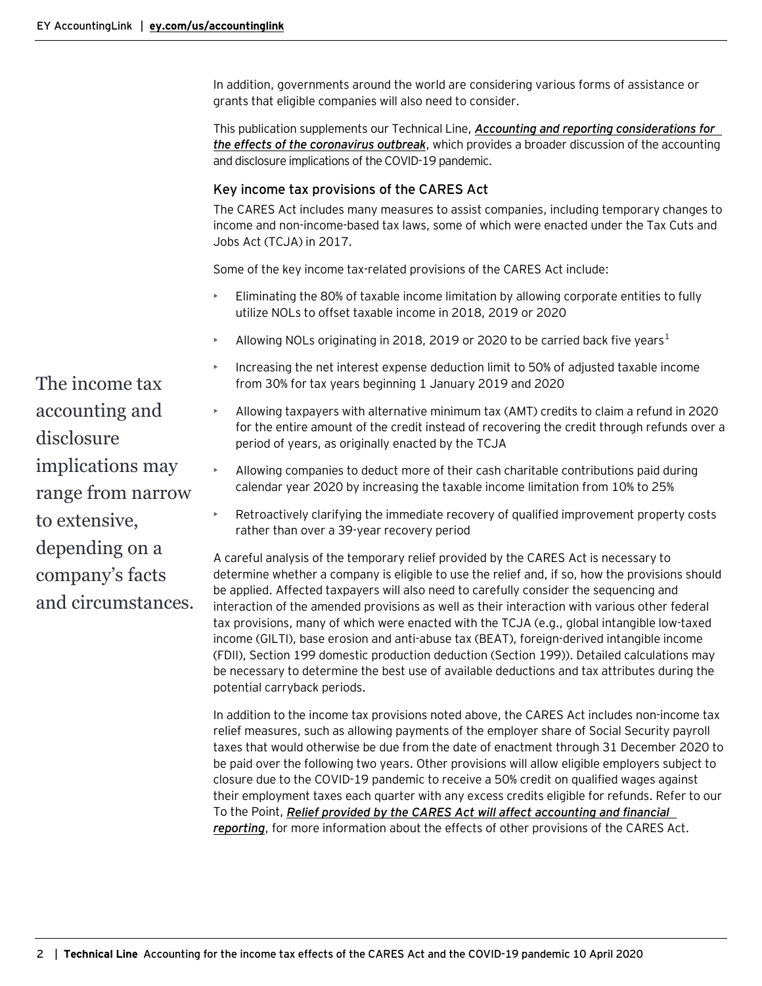In addition, governments around the world are considering various forms of assistance or grants that eligible companies will also need to consider.

This publication supplements our Technical Line, *[Accounting and reporting considerations for](https://www.ey.com/en_us/assurance/accountinglink/technical-line---accounting-and-reporting-considerations-for-the)  [the effects of the coronavirus outbreak](https://www.ey.com/en_us/assurance/accountinglink/technical-line---accounting-and-reporting-considerations-for-the)*, which provides a broader discussion of the accounting and disclosure implications of the COVID-19 pandemic.

## <span id="page-1-0"></span>Key income tax provisions of the CARES Act

The CARES Act includes many measures to assist companies, including temporary changes to income and non-income-based tax laws, some of which were enacted under the Tax Cuts and Jobs Act (TCJA) in 2017.

Some of the key income tax-related provisions of the CARES Act include:

- Eliminating the 80% of taxable income limitation by allowing corporate entities to fully utilize NOLs to offset taxable income in 2018, 2019 or 2020
- Allowing NOLs originating in 20[1](#page-15-0)8, 2019 or 2020 to be carried back five years<sup>1</sup>
- Increasing the net interest expense deduction limit to 50% of adjusted taxable income from 30% for tax years beginning 1 January 2019 and 2020
- Allowing taxpayers with alternative minimum tax (AMT) credits to claim a refund in 2020 for the entire amount of the credit instead of recovering the credit through refunds over a period of years, as originally enacted by the TCJA
- Allowing companies to deduct more of their cash charitable contributions paid during calendar year 2020 by increasing the taxable income limitation from 10% to 25%
- Retroactively clarifying the immediate recovery of qualified improvement property costs rather than over a 39-year recovery period

A careful analysis of the temporary relief provided by the CARES Act is necessary to determine whether a company is eligible to use the relief and, if so, how the provisions should be applied. Affected taxpayers will also need to carefully consider the sequencing and interaction of the amended provisions as well as their interaction with various other federal tax provisions, many of which were enacted with the TCJA (e.g., global intangible low-taxed income (GILTI), base erosion and anti-abuse tax (BEAT), foreign-derived intangible income (FDII), Section 199 domestic production deduction (Section 199)). Detailed calculations may be necessary to determine the best use of available deductions and tax attributes during the potential carryback periods.

In addition to the income tax provisions noted above, the CARES Act includes non-income tax relief measures, such as allowing payments of the employer share of Social Security payroll taxes that would otherwise be due from the date of enactment through 31 December 2020 to be paid over the following two years. Other provisions will allow eligible employers subject to closure due to the COVID-19 pandemic to receive a 50% credit on qualified wages against their employment taxes each quarter with any excess credits eligible for refunds. Refer to our To the Point, *[Relief provided by the CARES Act will affect accounting and financial](https://www.ey.com/en_us/assurance/accountinglink/to-the-point---relief-provided-by-the-cares-act-will-affect-acco)  [reporting](https://www.ey.com/en_us/assurance/accountinglink/to-the-point---relief-provided-by-the-cares-act-will-affect-acco)*, for more information about the effects of other provisions of the CARES Act.

The income tax accounting and disclosure implications may range from narrow to extensive, depending on a company's facts and circumstances.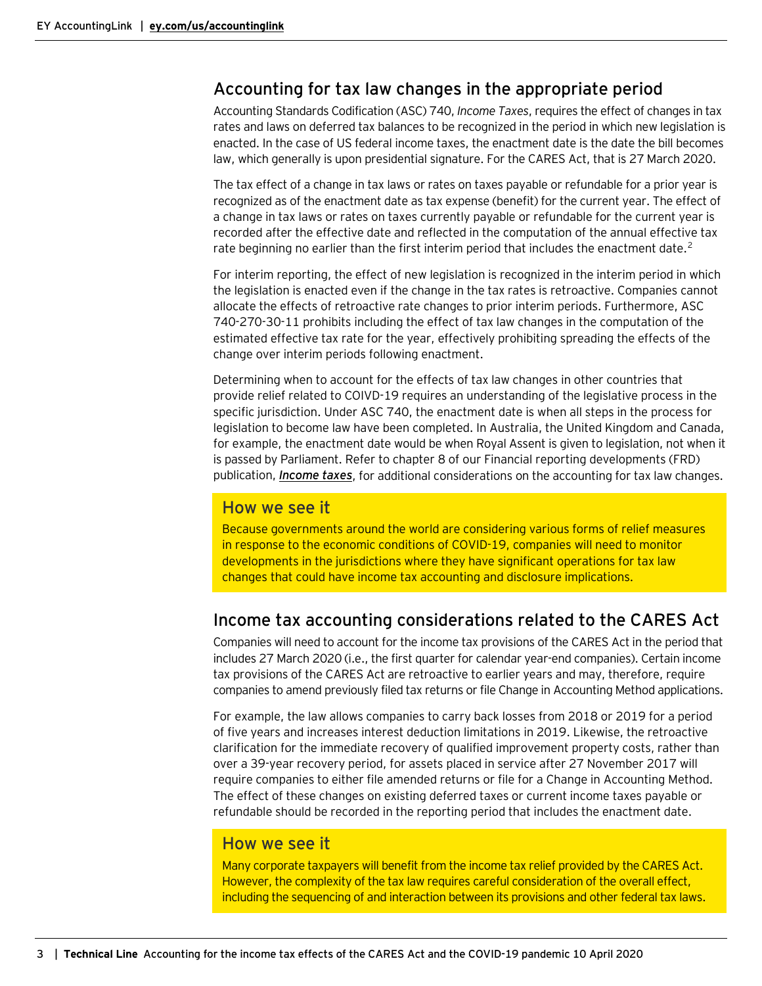# <span id="page-2-0"></span>Accounting for tax law changes in the appropriate period

Accounting Standards Codification (ASC) 740, *Income Taxes*, requires the effect of changes in tax rates and laws on deferred tax balances to be recognized in the period in which new legislation is enacted. In the case of US federal income taxes, the enactment date is the date the bill becomes law, which generally is upon presidential signature. For the CARES Act, that is 27 March 2020.

The tax effect of a change in tax laws or rates on taxes payable or refundable for a prior year is recognized as of the enactment date as tax expense (benefit) for the current year. The effect of a change in tax laws or rates on taxes currently payable or refundable for the current year is recorded after the effective date and reflected in the computation of the annual effective tax rate beginning no earlier than the first interim period that includes the enactment date.<sup>[2](#page-15-0)</sup>

For interim reporting, the effect of new legislation is recognized in the interim period in which the legislation is enacted even if the change in the tax rates is retroactive. Companies cannot allocate the effects of retroactive rate changes to prior interim periods. Furthermore, ASC 740-270-30-11 prohibits including the effect of tax law changes in the computation of the estimated effective tax rate for the year, effectively prohibiting spreading the effects of the change over interim periods following enactment.

Determining when to account for the effects of tax law changes in other countries that provide relief related to COIVD-19 requires an understanding of the legislative process in the specific jurisdiction. Under ASC 740, the enactment date is when all steps in the process for legislation to become law have been completed. In Australia, the United Kingdom and Canada, for example, the enactment date would be when Royal Assent is given to legislation, not when it is passed by Parliament. Refer to chapter 8 of our Financial reporting developments (FRD) publication, *[Income taxes](https://www.ey.com/en_us/assurance/accountinglink/financial-reporting-developments---income-taxes-)*, for additional considerations on the accounting for tax law changes.

## How we see it

Because governments around the world are considering various forms of relief measures in response to the economic conditions of COVID-19, companies will need to monitor developments in the jurisdictions where they have significant operations for tax law changes that could have income tax accounting and disclosure implications.

# <span id="page-2-1"></span>Income tax accounting considerations related to the CARES Act

Companies will need to account for the income tax provisions of the CARES Act in the period that includes 27 March 2020 (i.e., the first quarter for calendar year-end companies). Certain income tax provisions of the CARES Act are retroactive to earlier years and may, therefore, require companies to amend previously filed tax returns or file Change in Accounting Method applications.

For example, the law allows companies to carry back losses from 2018 or 2019 for a period of five years and increases interest deduction limitations in 2019. Likewise, the retroactive clarification for the immediate recovery of qualified improvement property costs, rather than over a 39-year recovery period, for assets placed in service after 27 November 2017 will require companies to either file amended returns or file for a Change in Accounting Method. The effect of these changes on existing deferred taxes or current income taxes payable or refundable should be recorded in the reporting period that includes the enactment date.

## How we see it

Many corporate taxpayers will benefit from the income tax relief provided by the CARES Act. However, the complexity of the tax law requires careful consideration of the overall effect, including the sequencing of and interaction between its provisions and other federal tax laws.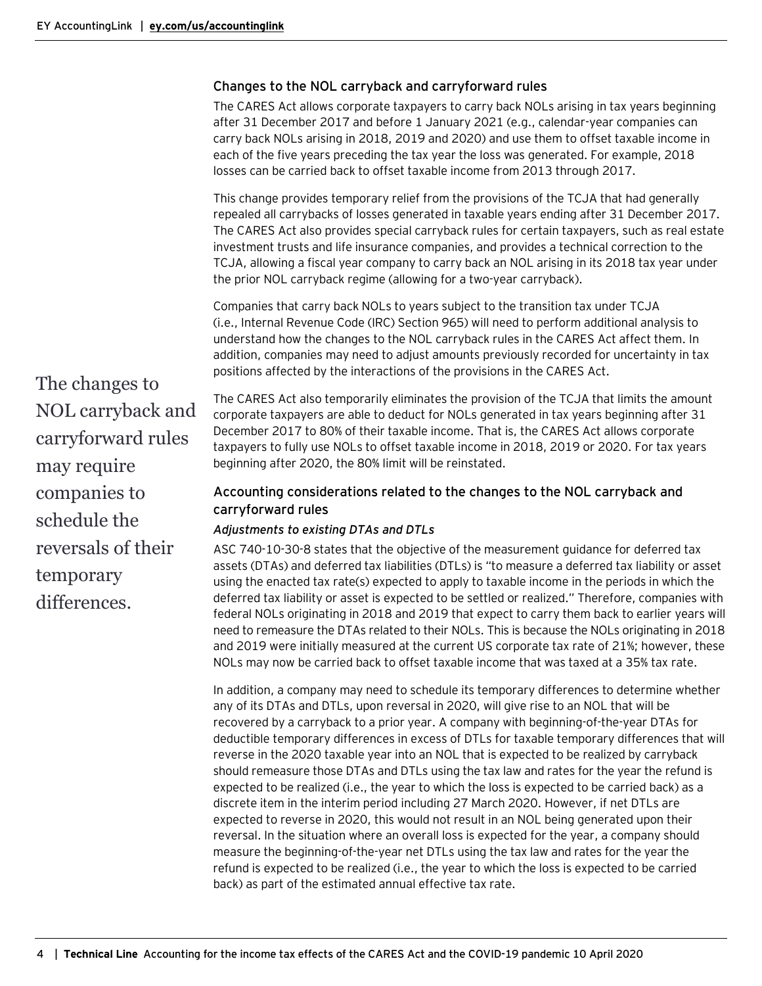## <span id="page-3-0"></span>Changes to the NOL carryback and carryforward rules

The CARES Act allows corporate taxpayers to carry back NOLs arising in tax years beginning after 31 December 2017 and before 1 January 2021 (e.g., calendar-year companies can carry back NOLs arising in 2018, 2019 and 2020) and use them to offset taxable income in each of the five years preceding the tax year the loss was generated. For example, 2018 losses can be carried back to offset taxable income from 2013 through 2017.

This change provides temporary relief from the provisions of the TCJA that had generally repealed all carrybacks of losses generated in taxable years ending after 31 December 2017. The CARES Act also provides special carryback rules for certain taxpayers, such as real estate investment trusts and life insurance companies, and provides a technical correction to the TCJA, allowing a fiscal year company to carry back an NOL arising in its 2018 tax year under the prior NOL carryback regime (allowing for a two-year carryback).

Companies that carry back NOLs to years subject to the transition tax under TCJA (i.e., Internal Revenue Code (IRC) Section 965) will need to perform additional analysis to understand how the changes to the NOL carryback rules in the CARES Act affect them. In addition, companies may need to adjust amounts previously recorded for uncertainty in tax positions affected by the interactions of the provisions in the CARES Act.

The changes to NOL carryback and carryforward rules may require companies to schedule the reversals of their temporary differences.

The CARES Act also temporarily eliminates the provision of the TCJA that limits the amount corporate taxpayers are able to deduct for NOLs generated in tax years beginning after 31 December 2017 to 80% of their taxable income. That is, the CARES Act allows corporate taxpayers to fully use NOLs to offset taxable income in 2018, 2019 or 2020. For tax years beginning after 2020, the 80% limit will be reinstated.

## <span id="page-3-1"></span>Accounting considerations related to the changes to the NOL carryback and carryforward rules

## *Adjustments to existing DTAs and DTLs*

ASC 740-10-30-8 states that the objective of the measurement guidance for deferred tax assets (DTAs) and deferred tax liabilities (DTLs) is "to measure a deferred tax liability or asset using the enacted tax rate(s) expected to apply to taxable income in the periods in which the deferred tax liability or asset is expected to be settled or realized." Therefore, companies with federal NOLs originating in 2018 and 2019 that expect to carry them back to earlier years will need to remeasure the DTAs related to their NOLs. This is because the NOLs originating in 2018 and 2019 were initially measured at the current US corporate tax rate of 21%; however, these NOLs may now be carried back to offset taxable income that was taxed at a 35% tax rate.

In addition, a company may need to schedule its temporary differences to determine whether any of its DTAs and DTLs, upon reversal in 2020, will give rise to an NOL that will be recovered by a carryback to a prior year. A company with beginning-of-the-year DTAs for deductible temporary differences in excess of DTLs for taxable temporary differences that will reverse in the 2020 taxable year into an NOL that is expected to be realized by carryback should remeasure those DTAs and DTLs using the tax law and rates for the year the refund is expected to be realized (i.e., the year to which the loss is expected to be carried back) as a discrete item in the interim period including 27 March 2020. However, if net DTLs are expected to reverse in 2020, this would not result in an NOL being generated upon their reversal. In the situation where an overall loss is expected for the year, a company should measure the beginning-of-the-year net DTLs using the tax law and rates for the year the refund is expected to be realized (i.e., the year to which the loss is expected to be carried back) as part of the estimated annual effective tax rate.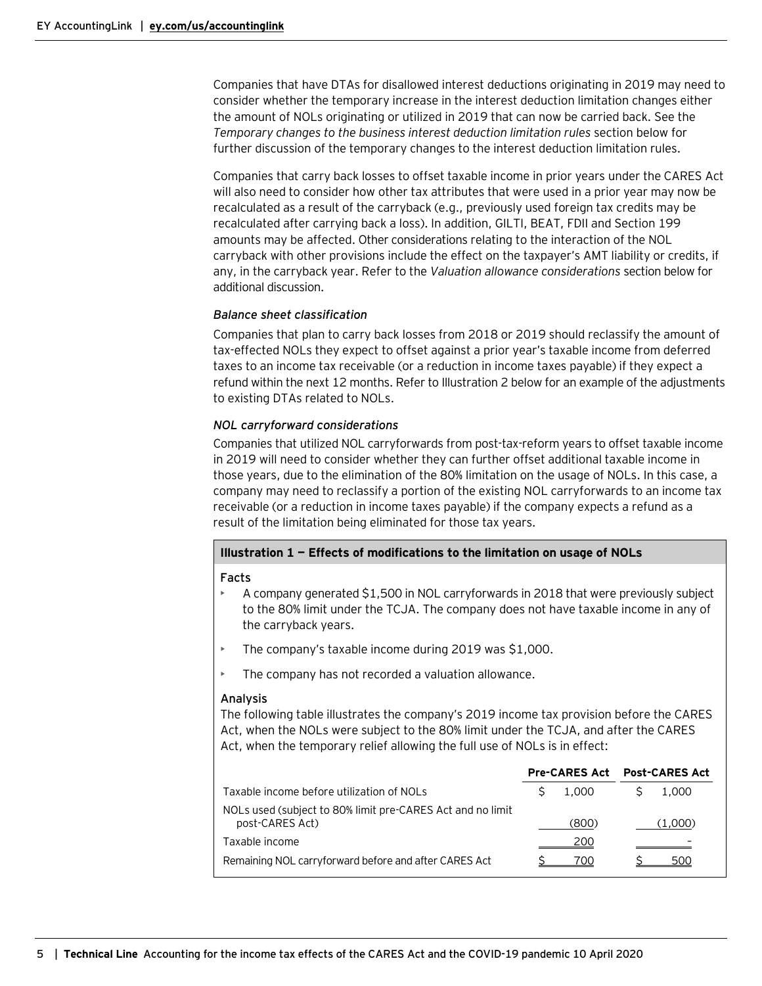Companies that have DTAs for disallowed interest deductions originating in 2019 may need to consider whether the temporary increase in the interest deduction limitation changes either the amount of NOLs originating or utilized in 2019 that can now be carried back. See the *Temporary changes to the business interest deduction limitation rules* section below for further discussion of the temporary changes to the interest deduction limitation rules.

Companies that carry back losses to offset taxable income in prior years under the CARES Act will also need to consider how other tax attributes that were used in a prior year may now be recalculated as a result of the carryback (e.g., previously used foreign tax credits may be recalculated after carrying back a loss). In addition, GILTI, BEAT, FDII and Section 199 amounts may be affected. Other considerations relating to the interaction of the NOL carryback with other provisions include the effect on the taxpayer's AMT liability or credits, if any, in the carryback year. Refer to the *Valuation allowance considerations* section below for additional discussion.

## *Balance sheet classification*

Companies that plan to carry back losses from 2018 or 2019 should reclassify the amount of tax-effected NOLs they expect to offset against a prior year's taxable income from deferred taxes to an income tax receivable (or a reduction in income taxes payable) if they expect a refund within the next 12 months. Refer to Illustration 2 below for an example of the adjustments to existing DTAs related to NOLs.

## *NOL carryforward considerations*

Companies that utilized NOL carryforwards from post-tax-reform years to offset taxable income in 2019 will need to consider whether they can further offset additional taxable income in those years, due to the elimination of the 80% limitation on the usage of NOLs. In this case, a company may need to reclassify a portion of the existing NOL carryforwards to an income tax receivable (or a reduction in income taxes payable) if the company expects a refund as a result of the limitation being eliminated for those tax years.

## **Illustration 1 — Effects of modifications to the limitation on usage of NOLs**

#### **Facts**

- A company generated \$1,500 in NOL carryforwards in 2018 that were previously subject to the 80% limit under the TCJA. The company does not have taxable income in any of the carryback years.
- The company's taxable income during 2019 was \$1,000.
- The company has not recorded a valuation allowance.

## **Analysis**

The following table illustrates the company's 2019 income tax provision before the CARES Act, when the NOLs were subject to the 80% limit under the TCJA, and after the CARES Act, when the temporary relief allowing the full use of NOLs is in effect:

|                                                                               |       | <b>Pre-CARES Act</b> Post-CARES Act |  |
|-------------------------------------------------------------------------------|-------|-------------------------------------|--|
| Taxable income before utilization of NOLs                                     | 1.000 | 1.000                               |  |
| NOLs used (subject to 80% limit pre-CARES Act and no limit<br>post-CARES Act) | (800) | (1.000)                             |  |
| Taxable income                                                                | 200   |                                     |  |
| Remaining NOL carryforward before and after CARES Act                         | 700   | 5()()                               |  |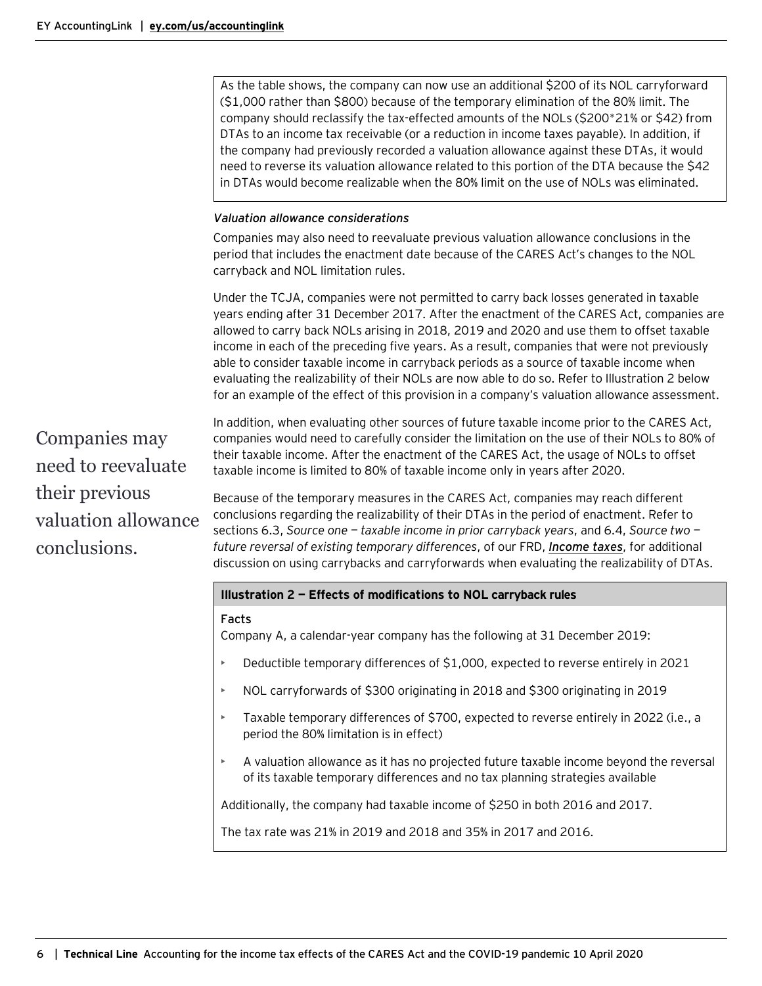As the table shows, the company can now use an additional \$200 of its NOL carryforward (\$1,000 rather than \$800) because of the temporary elimination of the 80% limit. The company should reclassify the tax-effected amounts of the NOLs (\$200\*21% or \$42) from DTAs to an income tax receivable (or a reduction in income taxes payable). In addition, if the company had previously recorded a valuation allowance against these DTAs, it would need to reverse its valuation allowance related to this portion of the DTA because the \$42 in DTAs would become realizable when the 80% limit on the use of NOLs was eliminated.

#### *Valuation allowance considerations*

Companies may also need to reevaluate previous valuation allowance conclusions in the period that includes the enactment date because of the CARES Act's changes to the NOL carryback and NOL limitation rules.

Under the TCJA, companies were not permitted to carry back losses generated in taxable years ending after 31 December 2017. After the enactment of the CARES Act, companies are allowed to carry back NOLs arising in 2018, 2019 and 2020 and use them to offset taxable income in each of the preceding five years. As a result, companies that were not previously able to consider taxable income in carryback periods as a source of taxable income when evaluating the realizability of their NOLs are now able to do so. Refer to Illustration 2 below for an example of the effect of this provision in a company's valuation allowance assessment.

Companies may need to reevaluate their previous valuation allowance conclusions.

In addition, when evaluating other sources of future taxable income prior to the CARES Act, companies would need to carefully consider the limitation on the use of their NOLs to 80% of their taxable income. After the enactment of the CARES Act, the usage of NOLs to offset taxable income is limited to 80% of taxable income only in years after 2020.

Because of the temporary measures in the CARES Act, companies may reach different conclusions regarding the realizability of their DTAs in the period of enactment. Refer to sections 6.3, *Source one — taxable income in prior carryback years*, and 6.4, *Source two future reversal of existing temporary differences*, of our FRD, *[Income taxes](https://www.ey.com/en_us/assurance/accountinglink/financial-reporting-developments---income-taxes-)*, for additional discussion on using carrybacks and carryforwards when evaluating the realizability of DTAs.

## **Illustration 2 — Effects of modifications to NOL carryback rules**

#### **Facts**

Company A, a calendar-year company has the following at 31 December 2019:

- Deductible temporary differences of \$1,000, expected to reverse entirely in 2021
- NOL carryforwards of \$300 originating in 2018 and \$300 originating in 2019
- Taxable temporary differences of \$700, expected to reverse entirely in 2022 (i.e., a period the 80% limitation is in effect)
- A valuation allowance as it has no projected future taxable income beyond the reversal of its taxable temporary differences and no tax planning strategies available

Additionally, the company had taxable income of \$250 in both 2016 and 2017.

The tax rate was 21% in 2019 and 2018 and 35% in 2017 and 2016.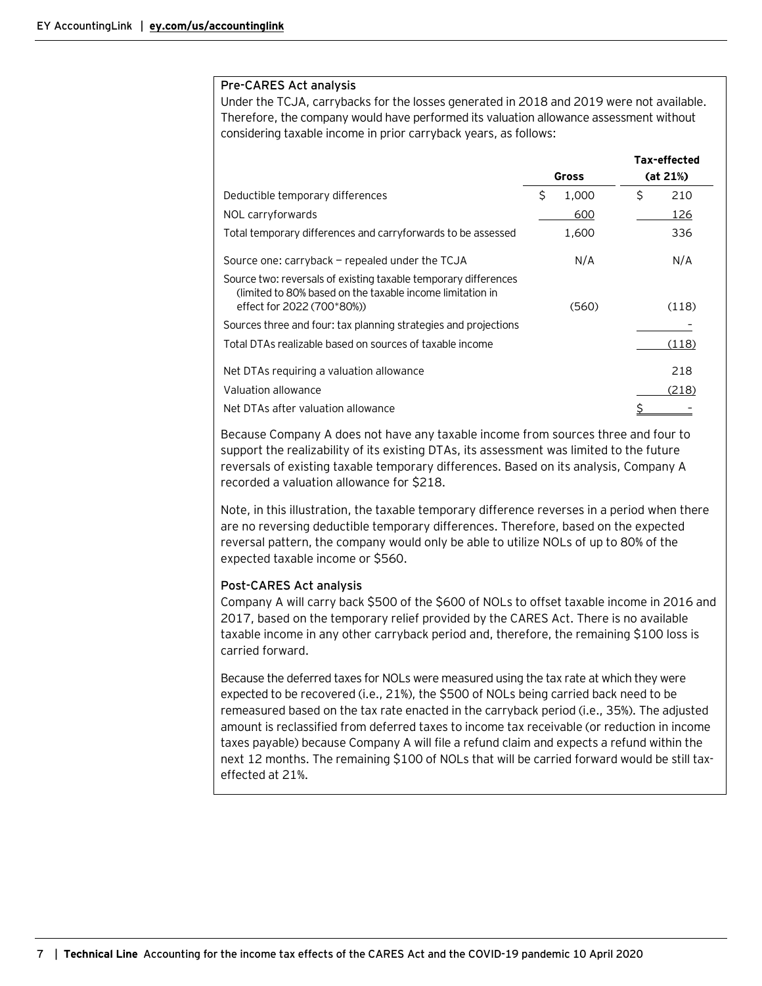#### **Pre-CARES Act analysis**

Under the TCJA, carrybacks for the losses generated in 2018 and 2019 were not available. Therefore, the company would have performed its valuation allowance assessment without considering taxable income in prior carryback years, as follows:

|                                                                                                                                                            |              | Tax-effected |
|------------------------------------------------------------------------------------------------------------------------------------------------------------|--------------|--------------|
|                                                                                                                                                            | <b>Gross</b> | (at 21%)     |
| Deductible temporary differences                                                                                                                           | \$<br>1,000  | \$<br>210    |
| NOL carryforwards                                                                                                                                          | 600          | 126          |
| Total temporary differences and carryforwards to be assessed                                                                                               | 1,600        | 336          |
| Source one: carryback – repealed under the TCJA                                                                                                            | N/A          | N/A          |
| Source two: reversals of existing taxable temporary differences<br>(limited to 80% based on the taxable income limitation in<br>effect for 2022 (700*80%)) | (560)        | (118)        |
| Sources three and four: tax planning strategies and projections                                                                                            |              |              |
| Total DTAs realizable based on sources of taxable income                                                                                                   |              | (118)        |
| Net DTAs requiring a valuation allowance                                                                                                                   |              | 218          |
| Valuation allowance                                                                                                                                        |              | (218)        |
| Net DTAs after valuation allowance                                                                                                                         |              |              |

Because Company A does not have any taxable income from sources three and four to support the realizability of its existing DTAs, its assessment was limited to the future reversals of existing taxable temporary differences. Based on its analysis, Company A recorded a valuation allowance for \$218.

Note, in this illustration, the taxable temporary difference reverses in a period when there are no reversing deductible temporary differences. Therefore, based on the expected reversal pattern, the company would only be able to utilize NOLs of up to 80% of the expected taxable income or \$560.

## **Post-CARES Act analysis**

Company A will carry back \$500 of the \$600 of NOLs to offset taxable income in 2016 and 2017, based on the temporary relief provided by the CARES Act. There is no available taxable income in any other carryback period and, therefore, the remaining \$100 loss is carried forward.

Because the deferred taxes for NOLs were measured using the tax rate at which they were expected to be recovered (i.e., 21%), the \$500 of NOLs being carried back need to be remeasured based on the tax rate enacted in the carryback period (i.e., 35%). The adjusted amount is reclassified from deferred taxes to income tax receivable (or reduction in income taxes payable) because Company A will file a refund claim and expects a refund within the next 12 months. The remaining \$100 of NOLs that will be carried forward would be still taxeffected at 21%.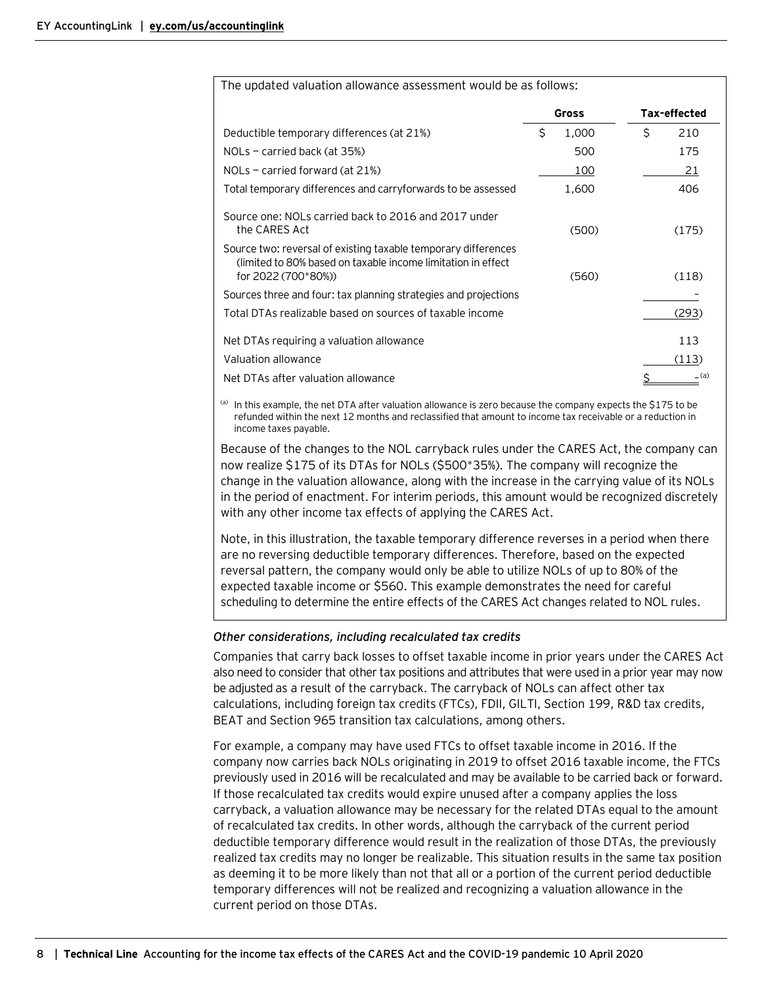| The updated valuation allowance assessment would be as follows:                                                                                        |              |              |
|--------------------------------------------------------------------------------------------------------------------------------------------------------|--------------|--------------|
|                                                                                                                                                        | <b>Gross</b> | Tax-effected |
| Deductible temporary differences (at 21%)                                                                                                              | \$<br>1,000  | Ś<br>210     |
| $NOLs$ – carried back (at 35%)                                                                                                                         | 500          | 175          |
| $NOLs$ – carried forward (at 21%)                                                                                                                      | 100          | 21           |
| Total temporary differences and carryforwards to be assessed                                                                                           | 1,600        | 406          |
| Source one: NOLs carried back to 2016 and 2017 under<br>the CARES Act                                                                                  | (500)        | (175)        |
| Source two: reversal of existing taxable temporary differences<br>(limited to 80% based on taxable income limitation in effect)<br>for 2022 (700*80%)) | (560)        | (118)        |
| Sources three and four: tax planning strategies and projections                                                                                        |              |              |
| Total DTAs realizable based on sources of taxable income                                                                                               |              | (293)        |
| Net DTAs requiring a valuation allowance                                                                                                               |              | 113          |
| Valuation allowance                                                                                                                                    |              | (113)        |
| Net DTAs after valuation allowance                                                                                                                     |              | _ (a)        |

(a) In this example, the net DTA after valuation allowance is zero because the company expects the \$175 to be refunded within the next 12 months and reclassified that amount to income tax receivable or a reduction in income taxes payable.

Because of the changes to the NOL carryback rules under the CARES Act, the company can now realize \$175 of its DTAs for NOLs (\$500\*35%). The company will recognize the change in the valuation allowance, along with the increase in the carrying value of its NOLs in the period of enactment. For interim periods, this amount would be recognized discretely with any other income tax effects of applying the CARES Act.

Note, in this illustration, the taxable temporary difference reverses in a period when there are no reversing deductible temporary differences. Therefore, based on the expected reversal pattern, the company would only be able to utilize NOLs of up to 80% of the expected taxable income or \$560. This example demonstrates the need for careful scheduling to determine the entire effects of the CARES Act changes related to NOL rules.

## *Other considerations, including recalculated tax credits*

Companies that carry back losses to offset taxable income in prior years under the CARES Act also need to consider that other tax positions and attributes that were used in a prior year may now be adjusted as a result of the carryback. The carryback of NOLs can affect other tax calculations, including foreign tax credits (FTCs), FDII, GILTI, Section 199, R&D tax credits, BEAT and Section 965 transition tax calculations, among others.

For example, a company may have used FTCs to offset taxable income in 2016. If the company now carries back NOLs originating in 2019 to offset 2016 taxable income, the FTCs previously used in 2016 will be recalculated and may be available to be carried back or forward. If those recalculated tax credits would expire unused after a company applies the loss carryback, a valuation allowance may be necessary for the related DTAs equal to the amount of recalculated tax credits. In other words, although the carryback of the current period deductible temporary difference would result in the realization of those DTAs, the previously realized tax credits may no longer be realizable. This situation results in the same tax position as deeming it to be more likely than not that all or a portion of the current period deductible temporary differences will not be realized and recognizing a valuation allowance in the current period on those DTAs.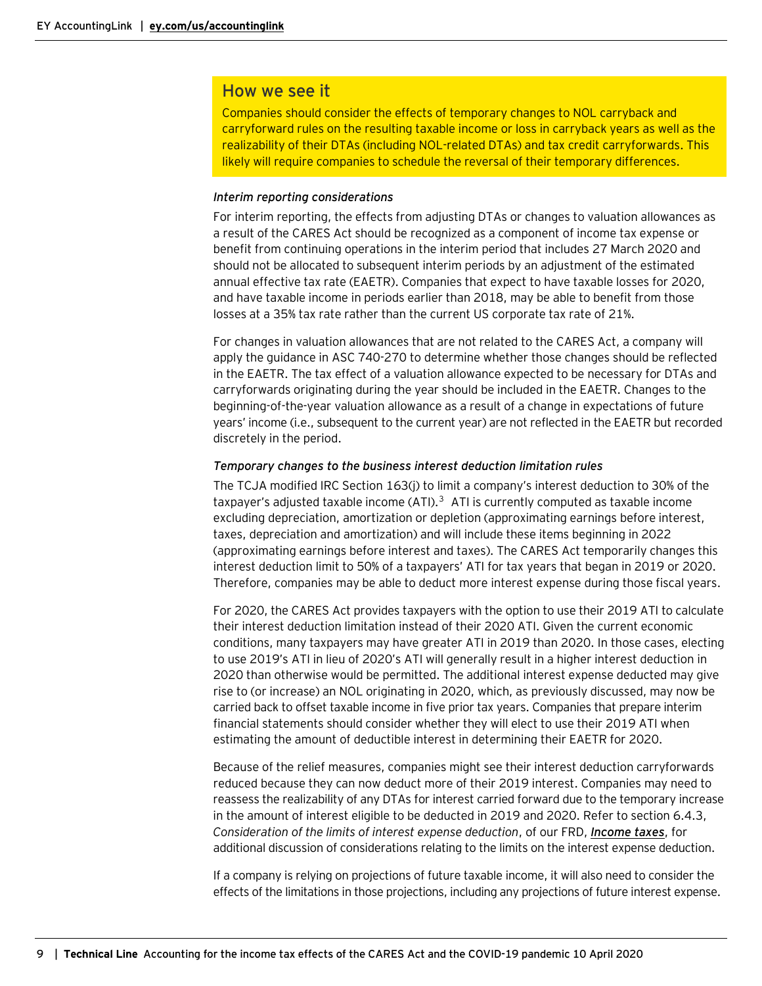## How we see it

Companies should consider the effects of temporary changes to NOL carryback and carryforward rules on the resulting taxable income or loss in carryback years as well as the realizability of their DTAs (including NOL-related DTAs) and tax credit carryforwards. This likely will require companies to schedule the reversal of their temporary differences.

## *Interim reporting considerations*

For interim reporting, the effects from adjusting DTAs or changes to valuation allowances as a result of the CARES Act should be recognized as a component of income tax expense or benefit from continuing operations in the interim period that includes 27 March 2020 and should not be allocated to subsequent interim periods by an adjustment of the estimated annual effective tax rate (EAETR). Companies that expect to have taxable losses for 2020, and have taxable income in periods earlier than 2018, may be able to benefit from those losses at a 35% tax rate rather than the current US corporate tax rate of 21%.

For changes in valuation allowances that are not related to the CARES Act, a company will apply the guidance in ASC 740-270 to determine whether those changes should be reflected in the EAETR. The tax effect of a valuation allowance expected to be necessary for DTAs and carryforwards originating during the year should be included in the EAETR. Changes to the beginning-of-the-year valuation allowance as a result of a change in expectations of future years' income (i.e., subsequent to the current year) are not reflected in the EAETR but recorded discretely in the period.

#### *Temporary changes to the business interest deduction limitation rules*

The TCJA modified IRC Section 163(j) to limit a company's interest deduction to 30% of the taxpayer's adjusted taxable income  $(ATI)$ .<sup>[3](#page-15-0)</sup> ATI is currently computed as taxable income excluding depreciation, amortization or depletion (approximating earnings before interest, taxes, depreciation and amortization) and will include these items beginning in 2022 (approximating earnings before interest and taxes). The CARES Act temporarily changes this interest deduction limit to 50% of a taxpayers' ATI for tax years that began in 2019 or 2020. Therefore, companies may be able to deduct more interest expense during those fiscal years.

For 2020, the CARES Act provides taxpayers with the option to use their 2019 ATI to calculate their interest deduction limitation instead of their 2020 ATI. Given the current economic conditions, many taxpayers may have greater ATI in 2019 than 2020. In those cases, electing to use 2019's ATI in lieu of 2020's ATI will generally result in a higher interest deduction in 2020 than otherwise would be permitted. The additional interest expense deducted may give rise to (or increase) an NOL originating in 2020, which, as previously discussed, may now be carried back to offset taxable income in five prior tax years. Companies that prepare interim financial statements should consider whether they will elect to use their 2019 ATI when estimating the amount of deductible interest in determining their EAETR for 2020.

Because of the relief measures, companies might see their interest deduction carryforwards reduced because they can now deduct more of their 2019 interest. Companies may need to reassess the realizability of any DTAs for interest carried forward due to the temporary increase in the amount of interest eligible to be deducted in 2019 and 2020. Refer to section 6.4.3, *Consideration of the limits of interest expense deduction*, of our FRD, *[Income taxes](https://www.ey.com/en_us/assurance/accountinglink/financial-reporting-developments---income-taxes-)*, for additional discussion of considerations relating to the limits on the interest expense deduction.

If a company is relying on projections of future taxable income, it will also need to consider the effects of the limitations in those projections, including any projections of future interest expense.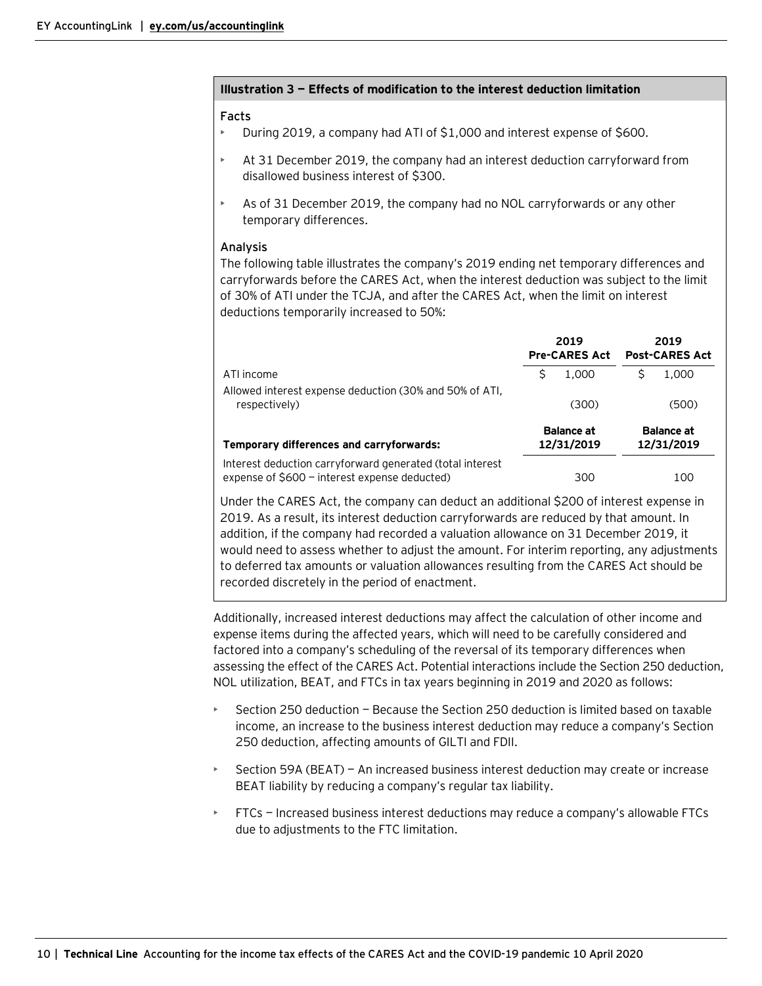|    | Facts<br>During 2019, a company had ATI of \$1,000 and interest expense of \$600.                                                                                                                                                                                                    |    |                                 |                                 |
|----|--------------------------------------------------------------------------------------------------------------------------------------------------------------------------------------------------------------------------------------------------------------------------------------|----|---------------------------------|---------------------------------|
| Þ. | At 31 December 2019, the company had an interest deduction carryforward from<br>disallowed business interest of \$300.                                                                                                                                                               |    |                                 |                                 |
| Þ  | As of 31 December 2019, the company had no NOL carryforwards or any other<br>temporary differences.                                                                                                                                                                                  |    |                                 |                                 |
|    | Analysis<br>The following table illustrates the company's 2019 ending net temporary differences and<br>carryforwards before the CARES Act, when the interest deduction was subject to the limit<br>of 30% of ATI under the TCJA, and after the CARES Act, when the limit on interest |    |                                 |                                 |
|    | deductions temporarily increased to 50%:                                                                                                                                                                                                                                             |    |                                 |                                 |
|    |                                                                                                                                                                                                                                                                                      |    | 2019<br><b>Pre-CARES Act</b>    | 2019<br><b>Post-CARES Act</b>   |
|    | ATI income                                                                                                                                                                                                                                                                           | \$ | 1,000                           | \$<br>1.000                     |
|    | Allowed interest expense deduction (30% and 50% of ATI,<br>respectively)                                                                                                                                                                                                             |    | (300)                           | (500)                           |
|    | Temporary differences and carryforwards:                                                                                                                                                                                                                                             |    | <b>Balance at</b><br>12/31/2019 | <b>Balance at</b><br>12/31/2019 |
|    | Interest deduction carryforward generated (total interest<br>expense of \$600 - interest expense deducted)                                                                                                                                                                           |    | 300                             | 100                             |

**Illustration 3 — Effects of modification to the interest deduction limitation**

to deferred tax amounts or valuation allowances resulting from the CARES Act should be recorded discretely in the period of enactment. Additionally, increased interest deductions may affect the calculation of other income and expense items during the affected years, which will need to be carefully considered and factored into a company's scheduling of the reversal of its temporary differences when

assessing the effect of the CARES Act. Potential interactions include the Section 250 deduction, NOL utilization, BEAT, and FTCs in tax years beginning in 2019 and 2020 as follows: • Section 250 deduction — Because the Section 250 deduction is limited based on taxable

- income, an increase to the business interest deduction may reduce a company's Section 250 deduction, affecting amounts of GILTI and FDII.
- Section 59A (BEAT) An increased business interest deduction may create or increase BEAT liability by reducing a company's regular tax liability.
- FTCs Increased business interest deductions may reduce a company's allowable FTCs due to adjustments to the FTC limitation.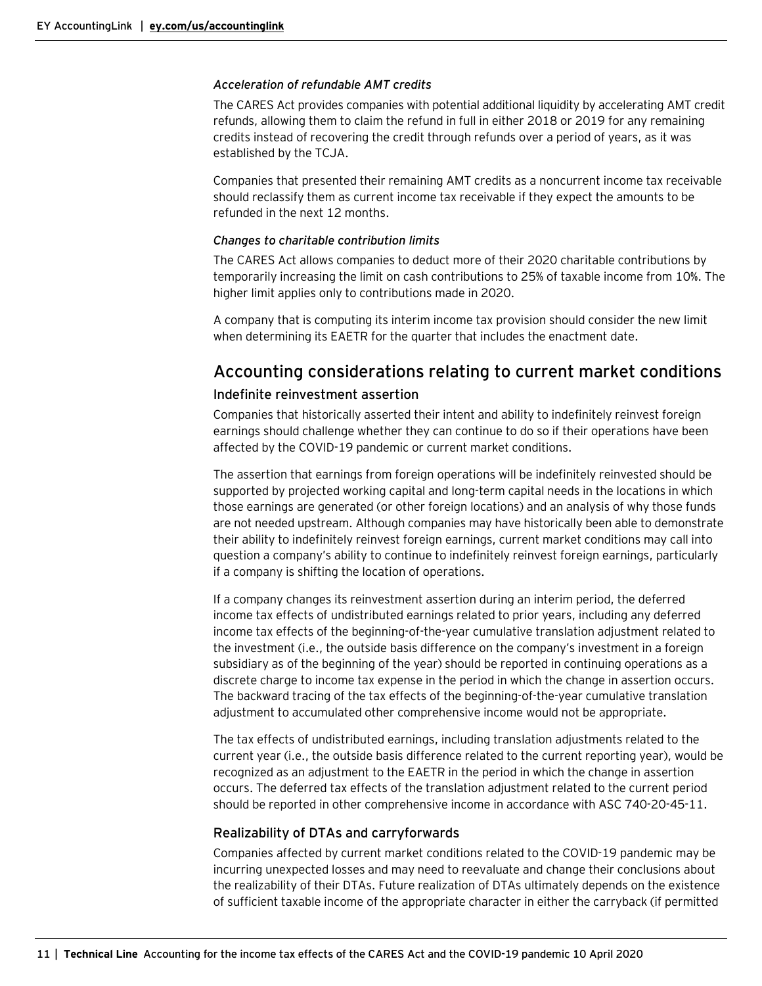#### *Acceleration of refundable AMT credits*

The CARES Act provides companies with potential additional liquidity by accelerating AMT credit refunds, allowing them to claim the refund in full in either 2018 or 2019 for any remaining credits instead of recovering the credit through refunds over a period of years, as it was established by the TCJA.

Companies that presented their remaining AMT credits as a noncurrent income tax receivable should reclassify them as current income tax receivable if they expect the amounts to be refunded in the next 12 months.

## *Changes to charitable contribution limits*

The CARES Act allows companies to deduct more of their 2020 charitable contributions by temporarily increasing the limit on cash contributions to 25% of taxable income from 10%. The higher limit applies only to contributions made in 2020.

A company that is computing its interim income tax provision should consider the new limit when determining its EAETR for the quarter that includes the enactment date.

# <span id="page-10-0"></span>Accounting considerations relating to current market conditions

## <span id="page-10-1"></span>Indefinite reinvestment assertion

Companies that historically asserted their intent and ability to indefinitely reinvest foreign earnings should challenge whether they can continue to do so if their operations have been affected by the COVID-19 pandemic or current market conditions.

The assertion that earnings from foreign operations will be indefinitely reinvested should be supported by projected working capital and long-term capital needs in the locations in which those earnings are generated (or other foreign locations) and an analysis of why those funds are not needed upstream. Although companies may have historically been able to demonstrate their ability to indefinitely reinvest foreign earnings, current market conditions may call into question a company's ability to continue to indefinitely reinvest foreign earnings, particularly if a company is shifting the location of operations.

If a company changes its reinvestment assertion during an interim period, the deferred income tax effects of undistributed earnings related to prior years, including any deferred income tax effects of the beginning-of-the-year cumulative translation adjustment related to the investment (i.e., the outside basis difference on the company's investment in a foreign subsidiary as of the beginning of the year) should be reported in continuing operations as a discrete charge to income tax expense in the period in which the change in assertion occurs. The backward tracing of the tax effects of the beginning-of-the-year cumulative translation adjustment to accumulated other comprehensive income would not be appropriate.

The tax effects of undistributed earnings, including translation adjustments related to the current year (i.e., the outside basis difference related to the current reporting year), would be recognized as an adjustment to the EAETR in the period in which the change in assertion occurs. The deferred tax effects of the translation adjustment related to the current period should be reported in other comprehensive income in accordance with ASC 740-20-45-11.

## <span id="page-10-2"></span>Realizability of DTAs and carryforwards

Companies affected by current market conditions related to the COVID-19 pandemic may be incurring unexpected losses and may need to reevaluate and change their conclusions about the realizability of their DTAs. Future realization of DTAs ultimately depends on the existence of sufficient taxable income of the appropriate character in either the carryback (if permitted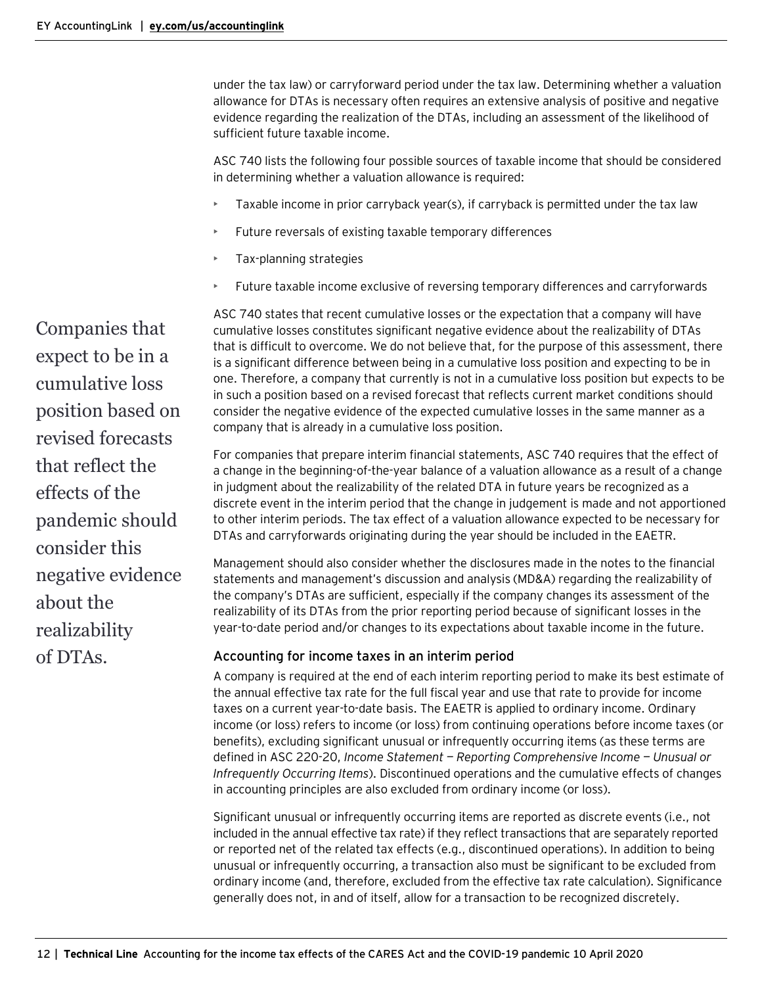under the tax law) or carryforward period under the tax law. Determining whether a valuation allowance for DTAs is necessary often requires an extensive analysis of positive and negative evidence regarding the realization of the DTAs, including an assessment of the likelihood of sufficient future taxable income.

ASC 740 lists the following four possible sources of taxable income that should be considered in determining whether a valuation allowance is required:

- Taxable income in prior carryback year(s), if carryback is permitted under the tax law
- Future reversals of existing taxable temporary differences
- Tax-planning strategies
- Future taxable income exclusive of reversing temporary differences and carryforwards

ASC 740 states that recent cumulative losses or the expectation that a company will have cumulative losses constitutes significant negative evidence about the realizability of DTAs that is difficult to overcome. We do not believe that, for the purpose of this assessment, there is a significant difference between being in a cumulative loss position and expecting to be in one. Therefore, a company that currently is not in a cumulative loss position but expects to be in such a position based on a revised forecast that reflects current market conditions should consider the negative evidence of the expected cumulative losses in the same manner as a company that is already in a cumulative loss position.

For companies that prepare interim financial statements, ASC 740 requires that the effect of a change in the beginning-of-the-year balance of a valuation allowance as a result of a change in judgment about the realizability of the related DTA in future years be recognized as a discrete event in the interim period that the change in judgement is made and not apportioned to other interim periods. The tax effect of a valuation allowance expected to be necessary for DTAs and carryforwards originating during the year should be included in the EAETR.

Management should also consider whether the disclosures made in the notes to the financial statements and management's discussion and analysis (MD&A) regarding the realizability of the company's DTAs are sufficient, especially if the company changes its assessment of the realizability of its DTAs from the prior reporting period because of significant losses in the year-to-date period and/or changes to its expectations about taxable income in the future.

## <span id="page-11-0"></span>Accounting for income taxes in an interim period

A company is required at the end of each interim reporting period to make its best estimate of the annual effective tax rate for the full fiscal year and use that rate to provide for income taxes on a current year-to-date basis. The EAETR is applied to ordinary income. Ordinary income (or loss) refers to income (or loss) from continuing operations before income taxes (or benefits), excluding significant unusual or infrequently occurring items (as these terms are defined in ASC 220-20, *Income Statement — Reporting Comprehensive Income — Unusual or Infrequently Occurring Items*). Discontinued operations and the cumulative effects of changes in accounting principles are also excluded from ordinary income (or loss).

Significant unusual or infrequently occurring items are reported as discrete events (i.e., not included in the annual effective tax rate) if they reflect transactions that are separately reported or reported net of the related tax effects (e.g., discontinued operations). In addition to being unusual or infrequently occurring, a transaction also must be significant to be excluded from ordinary income (and, therefore, excluded from the effective tax rate calculation). Significance generally does not, in and of itself, allow for a transaction to be recognized discretely.

Companies that expect to be in a cumulative loss position based on revised forecasts that reflect the effects of the pandemic should consider this negative evidence about the realizability of DTAs.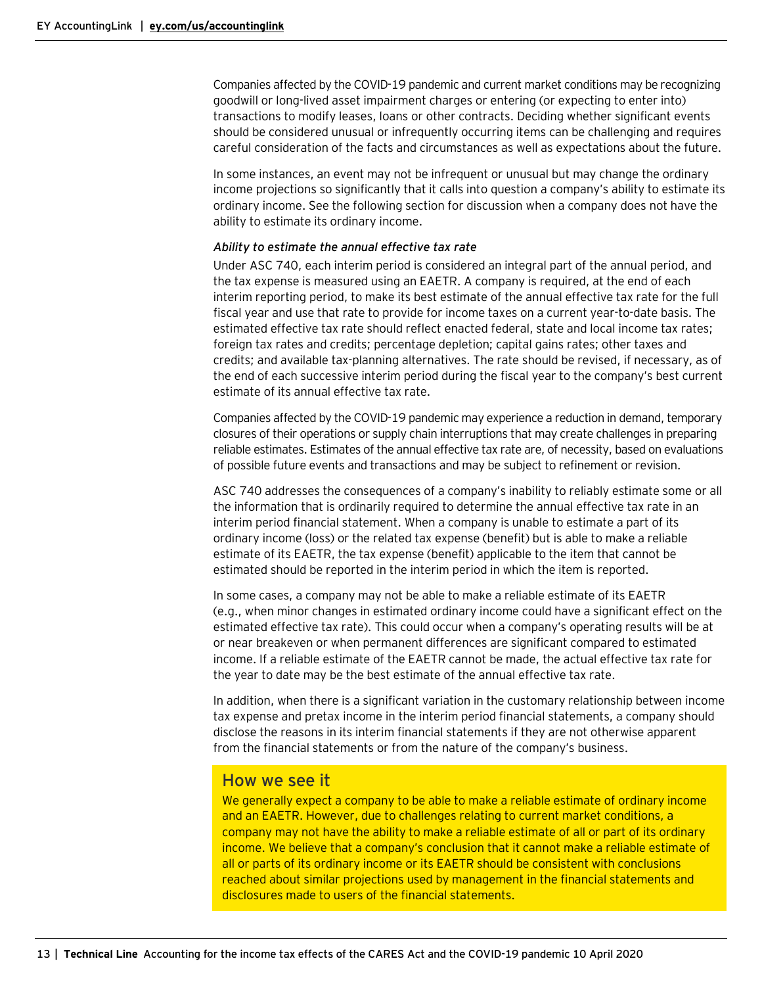Companies affected by the COVID-19 pandemic and current market conditions may be recognizing goodwill or long-lived asset impairment charges or entering (or expecting to enter into) transactions to modify leases, loans or other contracts. Deciding whether significant events should be considered unusual or infrequently occurring items can be challenging and requires careful consideration of the facts and circumstances as well as expectations about the future.

In some instances, an event may not be infrequent or unusual but may change the ordinary income projections so significantly that it calls into question a company's ability to estimate its ordinary income. See the following section for discussion when a company does not have the ability to estimate its ordinary income.

#### *Ability to estimate the annual effective tax rate*

Under ASC 740, each interim period is considered an integral part of the annual period, and the tax expense is measured using an EAETR. A company is required, at the end of each interim reporting period, to make its best estimate of the annual effective tax rate for the full fiscal year and use that rate to provide for income taxes on a current year-to-date basis. The estimated effective tax rate should reflect enacted federal, state and local income tax rates; foreign tax rates and credits; percentage depletion; capital gains rates; other taxes and credits; and available tax-planning alternatives. The rate should be revised, if necessary, as of the end of each successive interim period during the fiscal year to the company's best current estimate of its annual effective tax rate.

Companies affected by the COVID-19 pandemic may experience a reduction in demand, temporary closures of their operations or supply chain interruptions that may create challenges in preparing reliable estimates. Estimates of the annual effective tax rate are, of necessity, based on evaluations of possible future events and transactions and may be subject to refinement or revision.

ASC 740 addresses the consequences of a company's inability to reliably estimate some or all the information that is ordinarily required to determine the annual effective tax rate in an interim period financial statement. When a company is unable to estimate a part of its ordinary income (loss) or the related tax expense (benefit) but is able to make a reliable estimate of its EAETR, the tax expense (benefit) applicable to the item that cannot be estimated should be reported in the interim period in which the item is reported.

In some cases, a company may not be able to make a reliable estimate of its EAETR (e.g., when minor changes in estimated ordinary income could have a significant effect on the estimated effective tax rate). This could occur when a company's operating results will be at or near breakeven or when permanent differences are significant compared to estimated income. If a reliable estimate of the EAETR cannot be made, the actual effective tax rate for the year to date may be the best estimate of the annual effective tax rate.

In addition, when there is a significant variation in the customary relationship between income tax expense and pretax income in the interim period financial statements, a company should disclose the reasons in its interim financial statements if they are not otherwise apparent from the financial statements or from the nature of the company's business.

## How we see it

We generally expect a company to be able to make a reliable estimate of ordinary income and an EAETR. However, due to challenges relating to current market conditions, a company may not have the ability to make a reliable estimate of all or part of its ordinary income. We believe that a company's conclusion that it cannot make a reliable estimate of all or parts of its ordinary income or its EAETR should be consistent with conclusions reached about similar projections used by management in the financial statements and disclosures made to users of the financial statements.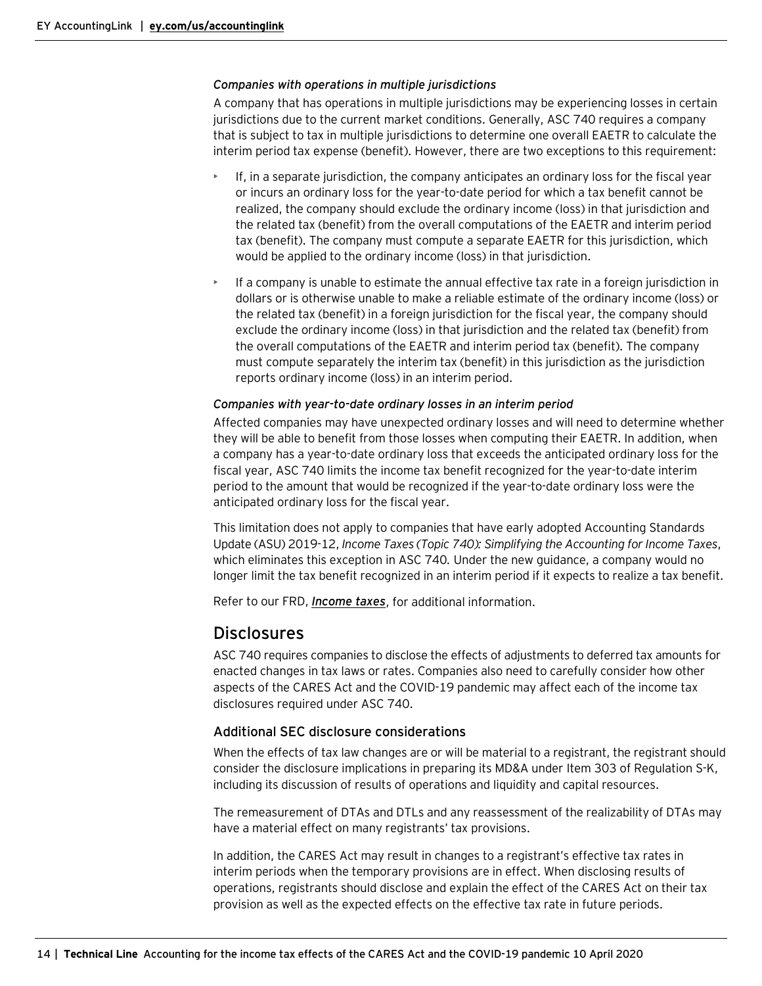#### *Companies with operations in multiple jurisdictions*

A company that has operations in multiple jurisdictions may be experiencing losses in certain jurisdictions due to the current market conditions. Generally, ASC 740 requires a company that is subject to tax in multiple jurisdictions to determine one overall EAETR to calculate the interim period tax expense (benefit). However, there are two exceptions to this requirement:

- If, in a separate jurisdiction, the company anticipates an ordinary loss for the fiscal year or incurs an ordinary loss for the year-to-date period for which a tax benefit cannot be realized, the company should exclude the ordinary income (loss) in that jurisdiction and the related tax (benefit) from the overall computations of the EAETR and interim period tax (benefit). The company must compute a separate EAETR for this jurisdiction, which would be applied to the ordinary income (loss) in that jurisdiction.
- If a company is unable to estimate the annual effective tax rate in a foreign jurisdiction in dollars or is otherwise unable to make a reliable estimate of the ordinary income (loss) or the related tax (benefit) in a foreign jurisdiction for the fiscal year, the company should exclude the ordinary income (loss) in that jurisdiction and the related tax (benefit) from the overall computations of the EAETR and interim period tax (benefit). The company must compute separately the interim tax (benefit) in this jurisdiction as the jurisdiction reports ordinary income (loss) in an interim period.

## *Companies with year-to-date ordinary losses in an interim period*

Affected companies may have unexpected ordinary losses and will need to determine whether they will be able to benefit from those losses when computing their EAETR. In addition, when a company has a year-to-date ordinary loss that exceeds the anticipated ordinary loss for the fiscal year, ASC 740 limits the income tax benefit recognized for the year-to-date interim period to the amount that would be recognized if the year-to-date ordinary loss were the anticipated ordinary loss for the fiscal year.

This limitation does not apply to companies that have early adopted Accounting Standards Update (ASU) 2019-12, *Income Taxes (Topic 740): Simplifying the Accounting for Income Taxes*, which eliminates this exception in ASC 740*.* Under the new guidance, a company would no longer limit the tax benefit recognized in an interim period if it expects to realize a tax benefit.

Refer to our FRD, *[Income taxes](https://www.ey.com/en_us/assurance/accountinglink/financial-reporting-developments---income-taxes-)*, for additional information.

## <span id="page-13-0"></span>Disclosures

ASC 740 requires companies to disclose the effects of adjustments to deferred tax amounts for enacted changes in tax laws or rates. Companies also need to carefully consider how other aspects of the CARES Act and the COVID-19 pandemic may affect each of the income tax disclosures required under ASC 740.

## Additional SEC disclosure considerations

When the effects of tax law changes are or will be material to a registrant, the registrant should consider the disclosure implications in preparing its MD&A under Item 303 of Regulation S-K, including its discussion of results of operations and liquidity and capital resources.

The remeasurement of DTAs and DTLs and any reassessment of the realizability of DTAs may have a material effect on many registrants' tax provisions.

In addition, the CARES Act may result in changes to a registrant's effective tax rates in interim periods when the temporary provisions are in effect. When disclosing results of operations, registrants should disclose and explain the effect of the CARES Act on their tax provision as well as the expected effects on the effective tax rate in future periods.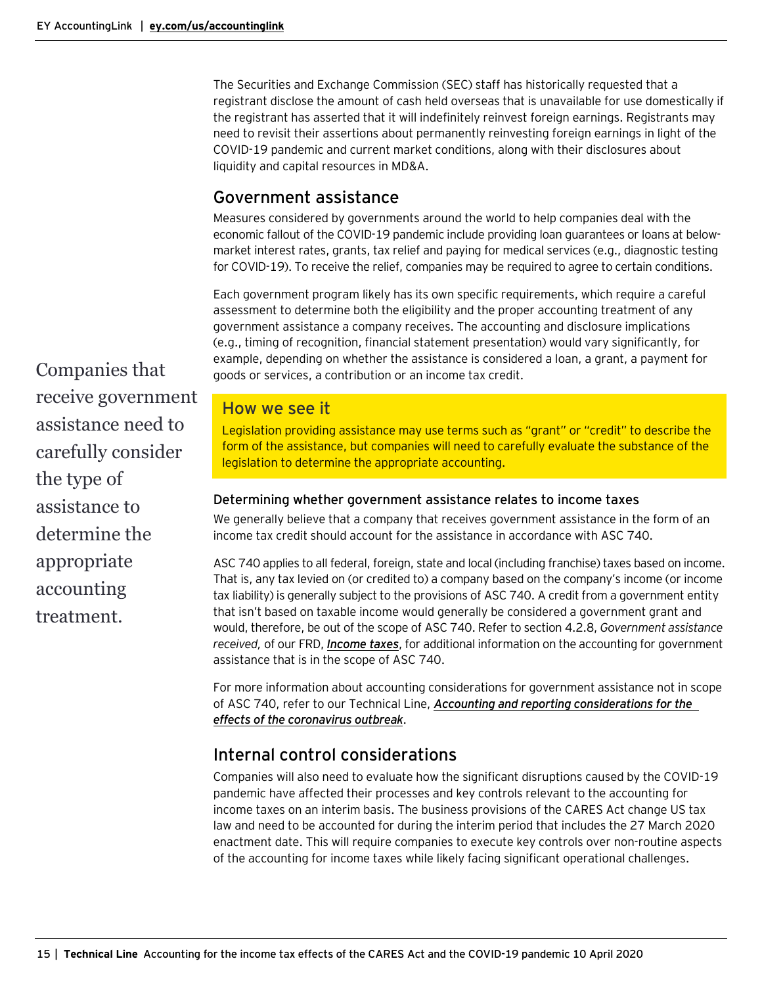The Securities and Exchange Commission (SEC) staff has historically requested that a registrant disclose the amount of cash held overseas that is unavailable for use domestically if the registrant has asserted that it will indefinitely reinvest foreign earnings. Registrants may need to revisit their assertions about permanently reinvesting foreign earnings in light of the COVID-19 pandemic and current market conditions, along with their disclosures about liquidity and capital resources in MD&A.

# <span id="page-14-0"></span>Government assistance

Measures considered by governments around the world to help companies deal with the economic fallout of the COVID-19 pandemic include providing loan guarantees or loans at belowmarket interest rates, grants, tax relief and paying for medical services (e.g., diagnostic testing for COVID-19). To receive the relief, companies may be required to agree to certain conditions.

Each government program likely has its own specific requirements, which require a careful assessment to determine both the eligibility and the proper accounting treatment of any government assistance a company receives. The accounting and disclosure implications (e.g., timing of recognition, financial statement presentation) would vary significantly, for example, depending on whether the assistance is considered a loan, a grant, a payment for goods or services, a contribution or an income tax credit.

# How we see it

Legislation providing assistance may use terms such as "grant" or "credit" to describe the form of the assistance, but companies will need to carefully evaluate the substance of the legislation to determine the appropriate accounting.

## <span id="page-14-1"></span>Determining whether government assistance relates to income taxes

We generally believe that a company that receives government assistance in the form of an income tax credit should account for the assistance in accordance with ASC 740.

ASC 740 applies to all federal, foreign, state and local (including franchise) taxes based on income. That is, any tax levied on (or credited to) a company based on the company's income (or income tax liability) is generally subject to the provisions of ASC 740. A credit from a government entity that isn't based on taxable income would generally be considered a government grant and would, therefore, be out of the scope of ASC 740. Refer to section 4.2.8, *Government assistance received,* of our FRD, *[Income taxes](https://www.ey.com/en_us/assurance/accountinglink/financial-reporting-developments---income-taxes-)*, for additional information on the accounting for government assistance that is in the scope of ASC 740.

For more information about accounting considerations for government assistance not in scope of ASC 740, refer to our Technical Line, *[Accounting and reporting considerations for the](https://www.ey.com/en_us/assurance/accountinglink/technical-line---accounting-and-reporting-considerations-for-the)  [effects of the coronavirus outbreak](https://www.ey.com/en_us/assurance/accountinglink/technical-line---accounting-and-reporting-considerations-for-the)*.

# <span id="page-14-2"></span>Internal control considerations

Companies will also need to evaluate how the significant disruptions caused by the COVID-19 pandemic have affected their processes and key controls relevant to the accounting for income taxes on an interim basis. The business provisions of the CARES Act change US tax law and need to be accounted for during the interim period that includes the 27 March 2020 enactment date. This will require companies to execute key controls over non-routine aspects of the accounting for income taxes while likely facing significant operational challenges.

Companies that receive government assistance need to carefully consider the type of assistance to determine the appropriate accounting treatment.